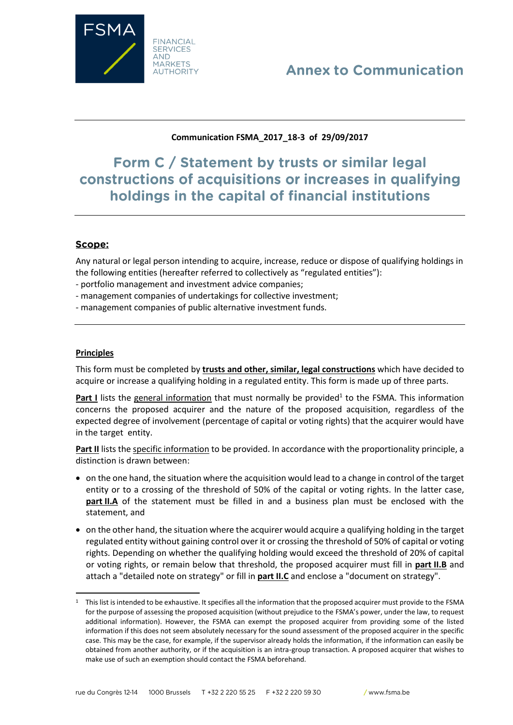

## **Communication FSMA\_2017\_18-3 of 29/09/2017**

# Form C / Statement by trusts or similar legal constructions of acquisitions or increases in qualifying holdings in the capital of financial institutions

## Scope:

Any natural or legal person intending to acquire, increase, reduce or dispose of qualifying holdings in the following entities (hereafter referred to collectively as "regulated entities"):

- portfolio management and investment advice companies;
- management companies of undertakings for collective investment;
- management companies of public alternative investment funds.

## **Principles**

 $\overline{\phantom{a}}$ 

This form must be completed by **trusts and other, similar, legal constructions** which have decided to acquire or increase a qualifying holding in a regulated entity. This form is made up of three parts.

Part I lists the general information that must normally be provided<sup>1</sup> to the FSMA. This information concerns the proposed acquirer and the nature of the proposed acquisition, regardless of the expected degree of involvement (percentage of capital or voting rights) that the acquirer would have in the target entity.

**Part II** lists the specific information to be provided. In accordance with the proportionality principle, a distinction is drawn between:

- on the one hand, the situation where the acquisition would lead to a change in control of the target entity or to a crossing of the threshold of 50% of the capital or voting rights. In the latter case, **part II.A** of the statement must be filled in and a business plan must be enclosed with the statement, and
- on the other hand, the situation where the acquirer would acquire a qualifying holding in the target regulated entity without gaining control over it or crossing the threshold of 50% of capital or voting rights. Depending on whether the qualifying holding would exceed the threshold of 20% of capital or voting rights, or remain below that threshold, the proposed acquirer must fill in **part II.B** and attach a "detailed note on strategy" or fill in **part II.C** and enclose a "document on strategy".

<sup>&</sup>lt;sup>1</sup> This list is intended to be exhaustive. It specifies all the information that the proposed acquirer must provide to the FSMA for the purpose of assessing the proposed acquisition (without prejudice to the FSMA's power, under the law, to request additional information). However, the FSMA can exempt the proposed acquirer from providing some of the listed information if this does not seem absolutely necessary for the sound assessment of the proposed acquirer in the specific case. This may be the case, for example, if the supervisor already holds the information, if the information can easily be obtained from another authority, or if the acquisition is an intra-group transaction. A proposed acquirer that wishes to make use of such an exemption should contact the FSMA beforehand.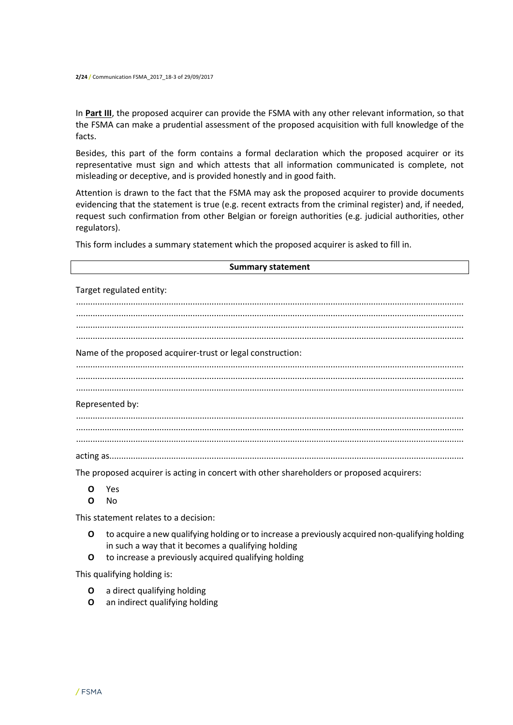In **Part III**, the proposed acquirer can provide the FSMA with any other relevant information, so that the FSMA can make a prudential assessment of the proposed acquisition with full knowledge of the facts.

Besides, this part of the form contains a formal declaration which the proposed acquirer or its representative must sign and which attests that all information communicated is complete, not misleading or deceptive, and is provided honestly and in good faith.

Attention is drawn to the fact that the FSMA may ask the proposed acquirer to provide documents evidencing that the statement is true (e.g. recent extracts from the criminal register) and, if needed, request such confirmation from other Belgian or foreign authorities (e.g. judicial authorities, other regulators).

This form includes a summary statement which the proposed acquirer is asked to fill in.

| <b>Summary statement</b>                                                                  |
|-------------------------------------------------------------------------------------------|
| Target regulated entity:                                                                  |
|                                                                                           |
|                                                                                           |
| Name of the proposed acquirer-trust or legal construction:                                |
|                                                                                           |
| Represented by:                                                                           |
|                                                                                           |
|                                                                                           |
| The proposed acquirer is acting in concert with other shareholders or proposed acquirers: |

- **O** Yes
- **O** No

This statement relates to a decision:

- **O** to acquire a new qualifying holding or to increase a previously acquired non-qualifying holding in such a way that it becomes a qualifying holding
- **O** to increase a previously acquired qualifying holding

This qualifying holding is:

- **O** a direct qualifying holding
- **O** an indirect qualifying holding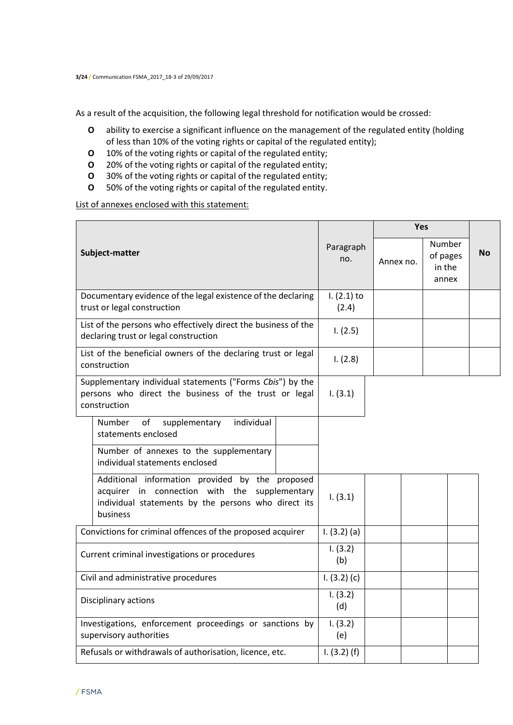As a result of the acquisition, the following legal threshold for notification would be crossed:

- **O** ability to exercise a significant influence on the management of the regulated entity (holding of less than 10% of the voting rights or capital of the regulated entity);
- **O** 10% of the voting rights or capital of the regulated entity;
- **O** 20% of the voting rights or capital of the regulated entity;
- **O** 30% of the voting rights or capital of the regulated entity;
- **O** 50% of the voting rights or capital of the regulated entity.

List of annexes enclosed with this statement:

|                                                                                                                                                                     |                        | <b>Yes</b> |                                       |    |
|---------------------------------------------------------------------------------------------------------------------------------------------------------------------|------------------------|------------|---------------------------------------|----|
| Subject-matter                                                                                                                                                      | Paragraph<br>no.       | Annex no.  | Number<br>of pages<br>in the<br>annex | No |
| Documentary evidence of the legal existence of the declaring<br>trust or legal construction                                                                         | $1. (2.1)$ to<br>(2.4) |            |                                       |    |
| List of the persons who effectively direct the business of the<br>declaring trust or legal construction                                                             | 1. (2.5)               |            |                                       |    |
| List of the beneficial owners of the declaring trust or legal<br>construction                                                                                       | 1. (2.8)               |            |                                       |    |
| Supplementary individual statements ("Forms Cbis") by the<br>persons who direct the business of the trust or legal<br>construction                                  | 1. (3.1)               |            |                                       |    |
| of<br>supplementary<br>individual<br>Number<br>statements enclosed                                                                                                  |                        |            |                                       |    |
| Number of annexes to the supplementary<br>individual statements enclosed                                                                                            |                        |            |                                       |    |
| Additional information provided by the proposed<br>acquirer in connection with the supplementary<br>individual statements by the persons who direct its<br>business | 1. (3.1)               |            |                                       |    |
| Convictions for criminal offences of the proposed acquirer                                                                                                          | 1. (3.2) (a)           |            |                                       |    |
| Current criminal investigations or procedures                                                                                                                       | 1. (3.2)<br>(b)        |            |                                       |    |
| Civil and administrative procedures                                                                                                                                 | I. $(3.2)$ (c)         |            |                                       |    |
| Disciplinary actions                                                                                                                                                | 1. (3.2)<br>(d)        |            |                                       |    |
| Investigations, enforcement proceedings or sanctions by<br>supervisory authorities                                                                                  | 1. (3.2)<br>(e)        |            |                                       |    |
| Refusals or withdrawals of authorisation, licence, etc.                                                                                                             | 1. (3.2) (f)           |            |                                       |    |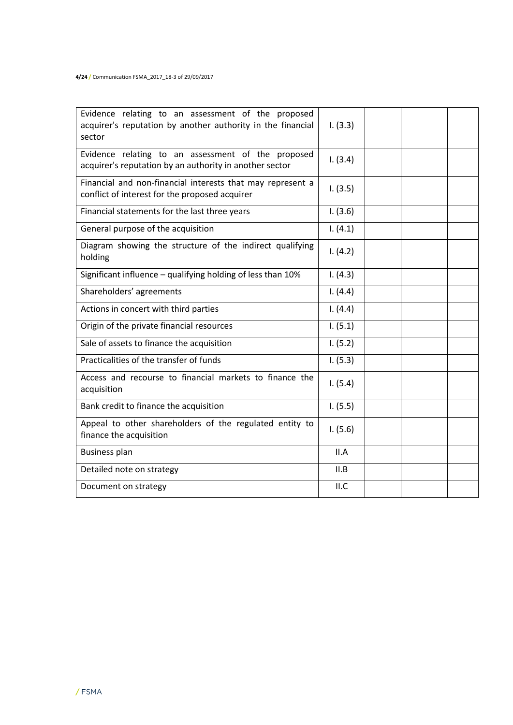| Evidence relating to an assessment of the proposed<br>acquirer's reputation by another authority in the financial<br>sector | 1. (3.3) |  |  |
|-----------------------------------------------------------------------------------------------------------------------------|----------|--|--|
| Evidence relating to an assessment of the proposed<br>acquirer's reputation by an authority in another sector               | 1. (3.4) |  |  |
| Financial and non-financial interests that may represent a<br>conflict of interest for the proposed acquirer                | 1. (3.5) |  |  |
| Financial statements for the last three years                                                                               | 1. (3.6) |  |  |
| General purpose of the acquisition                                                                                          | 1. (4.1) |  |  |
| Diagram showing the structure of the indirect qualifying<br>holding                                                         | 1. (4.2) |  |  |
| Significant influence - qualifying holding of less than 10%                                                                 | 1. (4.3) |  |  |
| Shareholders' agreements                                                                                                    | 1. (4.4) |  |  |
| Actions in concert with third parties                                                                                       | 1. (4.4) |  |  |
| Origin of the private financial resources                                                                                   | 1. (5.1) |  |  |
| Sale of assets to finance the acquisition                                                                                   | 1. (5.2) |  |  |
| Practicalities of the transfer of funds                                                                                     | 1. (5.3) |  |  |
| Access and recourse to financial markets to finance the<br>acquisition                                                      | 1. (5.4) |  |  |
| Bank credit to finance the acquisition                                                                                      | 1. (5.5) |  |  |
| Appeal to other shareholders of the regulated entity to<br>finance the acquisition                                          | 1. (5.6) |  |  |
| <b>Business plan</b>                                                                                                        | II.A     |  |  |
| Detailed note on strategy                                                                                                   | II.B     |  |  |
| Document on strategy                                                                                                        | II.C     |  |  |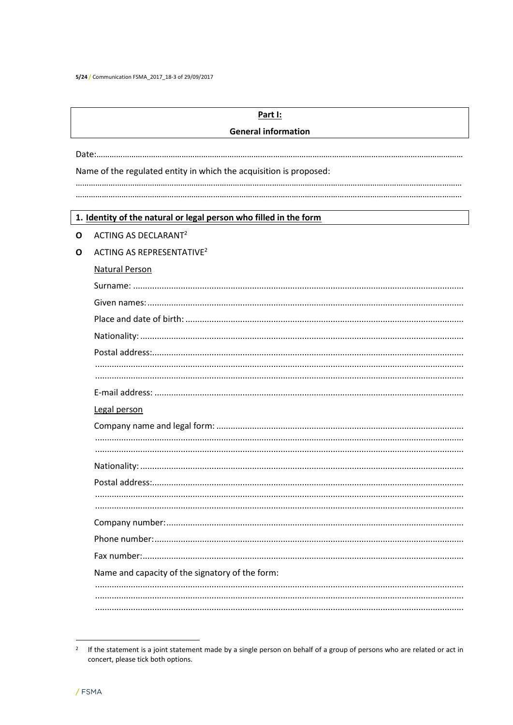5/24 / Communication FSMA\_2017\_18-3 of 29/09/2017

|   | Part I:                                                            |  |  |  |  |
|---|--------------------------------------------------------------------|--|--|--|--|
|   | <b>General information</b>                                         |  |  |  |  |
|   |                                                                    |  |  |  |  |
|   | Name of the regulated entity in which the acquisition is proposed: |  |  |  |  |
|   |                                                                    |  |  |  |  |
|   |                                                                    |  |  |  |  |
|   | 1. Identity of the natural or legal person who filled in the form  |  |  |  |  |
| O | <b>ACTING AS DECLARANT<sup>2</sup></b>                             |  |  |  |  |
| O | ACTING AS REPRESENTATIVE <sup>2</sup>                              |  |  |  |  |
|   | <b>Natural Person</b>                                              |  |  |  |  |
|   |                                                                    |  |  |  |  |
|   |                                                                    |  |  |  |  |
|   |                                                                    |  |  |  |  |
|   |                                                                    |  |  |  |  |
|   |                                                                    |  |  |  |  |
|   |                                                                    |  |  |  |  |
|   |                                                                    |  |  |  |  |
|   | Legal person                                                       |  |  |  |  |
|   |                                                                    |  |  |  |  |
|   |                                                                    |  |  |  |  |
|   |                                                                    |  |  |  |  |
|   |                                                                    |  |  |  |  |
|   |                                                                    |  |  |  |  |
|   |                                                                    |  |  |  |  |
|   |                                                                    |  |  |  |  |
|   |                                                                    |  |  |  |  |
|   |                                                                    |  |  |  |  |
|   | Name and capacity of the signatory of the form:                    |  |  |  |  |
|   |                                                                    |  |  |  |  |
|   |                                                                    |  |  |  |  |

<sup>&</sup>lt;sup>2</sup> If the statement is a joint statement made by a single person on behalf of a group of persons who are related or act in concert, please tick both options.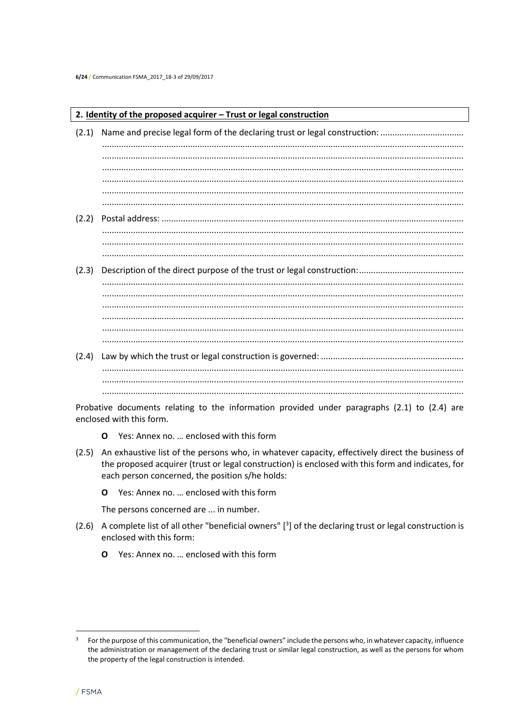## 2. Identity of the proposed acquirer - Trust or legal construction

 $(2.1)$ Name and precise legal form of the declaring trust or legal construction: ................................... 

Probative documents relating to the information provided under paragraphs (2.1) to (2.4) are enclosed with this form.

- Yes: Annex no. ... enclosed with this form  $\Omega$
- (2.5) An exhaustive list of the persons who, in whatever capacity, effectively direct the business of the proposed acquirer (trust or legal construction) is enclosed with this form and indicates, for each person concerned, the position s/he holds:
	- Yes: Annex no. ... enclosed with this form O

The persons concerned are ... in number.

- (2.6) A complete list of all other "beneficial owners"  $[3]$  of the declaring trust or legal construction is enclosed with this form:
	- **Q** Yes: Annex no. ... enclosed with this form

For the purpose of this communication, the "beneficial owners" include the persons who, in whatever capacity, influence  $\mathbf{3}$ the administration or management of the declaring trust or similar legal construction, as well as the persons for whom the property of the legal construction is intended.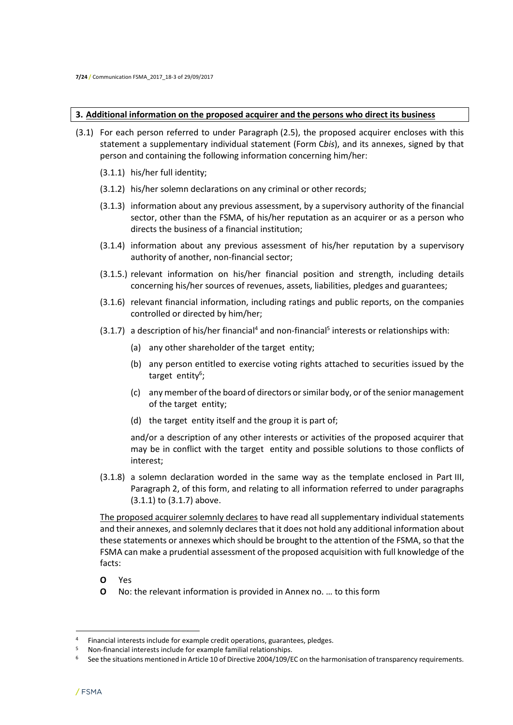#### **3. Additional information on the proposed acquirer and the persons who direct its business**

- (3.1) For each person referred to under Paragraph (2.5), the proposed acquirer encloses with this statement a supplementary individual statement (Form C*bis*), and its annexes, signed by that person and containing the following information concerning him/her:
	- (3.1.1) his/her full identity;
	- (3.1.2) his/her solemn declarations on any criminal or other records;
	- (3.1.3) information about any previous assessment, by a supervisory authority of the financial sector, other than the FSMA, of his/her reputation as an acquirer or as a person who directs the business of a financial institution;
	- (3.1.4) information about any previous assessment of his/her reputation by a supervisory authority of another, non-financial sector;
	- (3.1.5.) relevant information on his/her financial position and strength, including details concerning his/her sources of revenues, assets, liabilities, pledges and guarantees;
	- (3.1.6) relevant financial information, including ratings and public reports, on the companies controlled or directed by him/her;
	- $(3.1.7)$  a description of his/her financial<sup>4</sup> and non-financial<sup>5</sup> interests or relationships with:
		- (a) any other shareholder of the target entity;
		- (b) any person entitled to exercise voting rights attached to securities issued by the target entity<sup>6</sup>;
		- (c) any member of the board of directors or similar body, or of the senior management of the target entity;
		- (d) the target entity itself and the group it is part of;

and/or a description of any other interests or activities of the proposed acquirer that may be in conflict with the target entity and possible solutions to those conflicts of interest;

(3.1.8) a solemn declaration worded in the same way as the template enclosed in Part III, Paragraph 2, of this form, and relating to all information referred to under paragraphs (3.1.1) to (3.1.7) above.

The proposed acquirer solemnly declares to have read all supplementary individual statements and their annexes, and solemnly declares that it does not hold any additional information about these statements or annexes which should be brought to the attention of the FSMA, so that the FSMA can make a prudential assessment of the proposed acquisition with full knowledge of the facts:

- **O** Yes
- **O** No: the relevant information is provided in Annex no. … to this form

 $\overline{a}$ 

<sup>&</sup>lt;sup>4</sup> Financial interests include for example credit operations, guarantees, pledges.

<sup>5</sup> Non-financial interests include for example familial relationships.

<sup>6</sup> See the situations mentioned in Article 10 of Directive 2004/109/EC on the harmonisation of transparency requirements.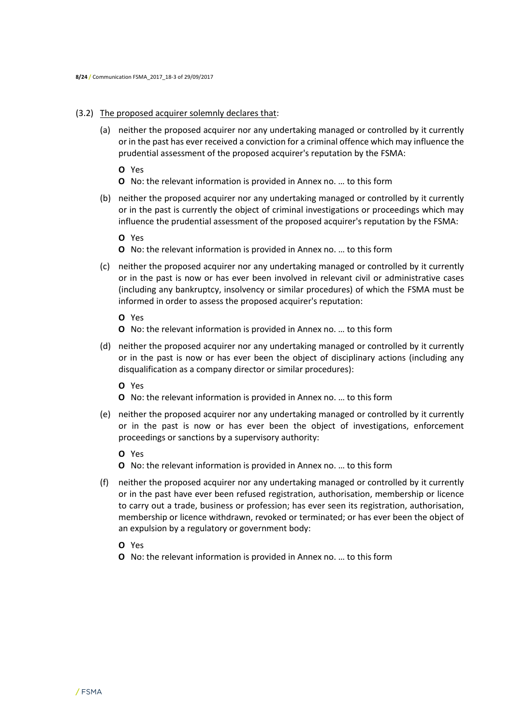#### (3.2) The proposed acquirer solemnly declares that:

(a) neither the proposed acquirer nor any undertaking managed or controlled by it currently or in the past has ever received a conviction for a criminal offence which may influence the prudential assessment of the proposed acquirer's reputation by the FSMA:

**O** Yes

- **O** No: the relevant information is provided in Annex no. … to this form
- (b) neither the proposed acquirer nor any undertaking managed or controlled by it currently or in the past is currently the object of criminal investigations or proceedings which may influence the prudential assessment of the proposed acquirer's reputation by the FSMA:

**O** Yes

- **O** No: the relevant information is provided in Annex no. … to this form
- (c) neither the proposed acquirer nor any undertaking managed or controlled by it currently or in the past is now or has ever been involved in relevant civil or administrative cases (including any bankruptcy, insolvency or similar procedures) of which the FSMA must be informed in order to assess the proposed acquirer's reputation:
	- **O** Yes
	- **O** No: the relevant information is provided in Annex no. … to this form
- (d) neither the proposed acquirer nor any undertaking managed or controlled by it currently or in the past is now or has ever been the object of disciplinary actions (including any disqualification as a company director or similar procedures):
	- **O** Yes
	- **O** No: the relevant information is provided in Annex no. … to this form
- (e) neither the proposed acquirer nor any undertaking managed or controlled by it currently or in the past is now or has ever been the object of investigations, enforcement proceedings or sanctions by a supervisory authority:
	- **O** Yes
	- **O** No: the relevant information is provided in Annex no. … to this form
- (f) neither the proposed acquirer nor any undertaking managed or controlled by it currently or in the past have ever been refused registration, authorisation, membership or licence to carry out a trade, business or profession; has ever seen its registration, authorisation, membership or licence withdrawn, revoked or terminated; or has ever been the object of an expulsion by a regulatory or government body:
	- **O** Yes
	- **O** No: the relevant information is provided in Annex no. … to this form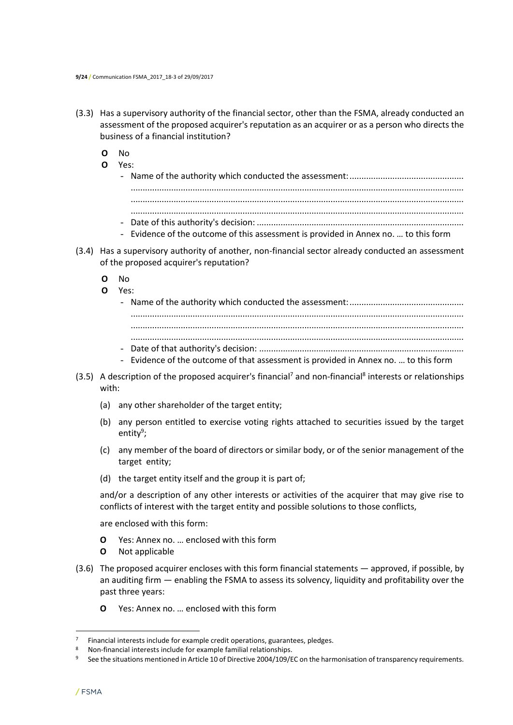- (3.3) Has a supervisory authority of the financial sector, other than the FSMA, already conducted an assessment of the proposed acquirer's reputation as an acquirer or as a person who directs the business of a financial institution?
	- **O** No
	- **O** Yes:

| - Evidence of the outcome of this assessment is provided in Annex no.  to this form |
|-------------------------------------------------------------------------------------|

- (3.4) Has a supervisory authority of another, non-financial sector already conducted an assessment of the proposed acquirer's reputation?
	- **O** No
	- **O** Yes:
		- Name of the authority which conducted the assessment:................................................ ............................................................................................................................................ ............................................................................................................................................ ............................................................................................................................................ - Date of that authority's decision: ......................................................................................
		- Evidence of the outcome of that assessment is provided in Annex no. … to this form
- (3.5) A description of the proposed acquirer's financial<sup>7</sup> and non-financial<sup>8</sup> interests or relationships with:
	- (a) any other shareholder of the target entity;
	- (b) any person entitled to exercise voting rights attached to securities issued by the target entity<sup>9</sup>;
	- (c) any member of the board of directors or similar body, or of the senior management of the target entity;
	- (d) the target entity itself and the group it is part of;

and/or a description of any other interests or activities of the acquirer that may give rise to conflicts of interest with the target entity and possible solutions to those conflicts,

are enclosed with this form:

- **O** Yes: Annex no. … enclosed with this form
- **O** Not applicable
- (3.6) The proposed acquirer encloses with this form financial statements approved, if possible, by an auditing firm — enabling the FSMA to assess its solvency, liquidity and profitability over the past three years:
	- **O** Yes: Annex no. … enclosed with this form

 $\overline{a}$ 

 $7$  Financial interests include for example credit operations, guarantees, pledges.

<sup>8</sup> Non-financial interests include for example familial relationships.

<sup>9</sup> See the situations mentioned in Article 10 of Directive 2004/109/EC on the harmonisation of transparency requirements.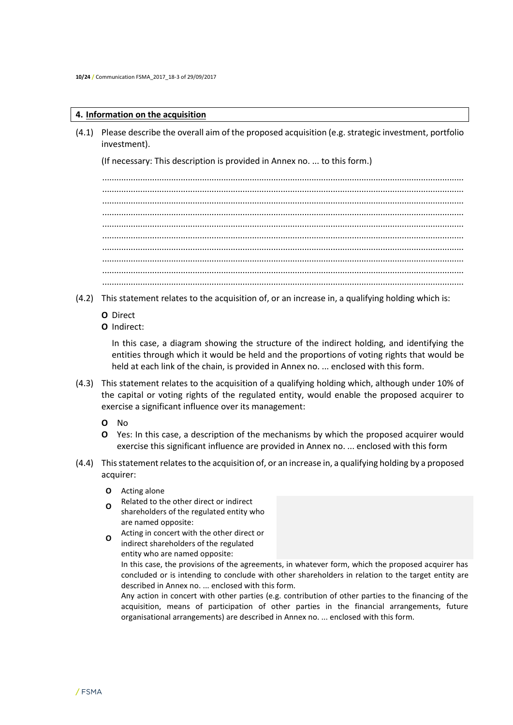#### **4. Information on the acquisition**

(4.1) Please describe the overall aim of the proposed acquisition (e.g. strategic investment, portfolio investment).

(If necessary: This description is provided in Annex no. ... to this form.)

........................................................................................................................................................ ........................................................................................................................................................ ........................................................................................................................................................ ........................................................................................................................................................ ........................................................................................................................................................ ........................................................................................................................................................ ........................................................................................................................................................ ........................................................................................................................................................ ........................................................................................................................................................ ........................................................................................................................................................

- (4.2) This statement relates to the acquisition of, or an increase in, a qualifying holding which is:
	- **O** Direct
	- **O** Indirect:

In this case, a diagram showing the structure of the indirect holding, and identifying the entities through which it would be held and the proportions of voting rights that would be held at each link of the chain, is provided in Annex no. ... enclosed with this form.

- (4.3) This statement relates to the acquisition of a qualifying holding which, although under 10% of the capital or voting rights of the regulated entity, would enable the proposed acquirer to exercise a significant influence over its management:
	- **O** No
	- **O** Yes: In this case, a description of the mechanisms by which the proposed acquirer would exercise this significant influence are provided in Annex no. ... enclosed with this form
- (4.4) This statement relates to the acquisition of, or an increase in, a qualifying holding by a proposed acquirer:
	- **O** Acting alone
	- **O** Related to the other direct or indirect
	- shareholders of the regulated entity who are named opposite:
	- **O** Acting in concert with the other direct or indirect shareholders of the regulated entity who are named opposite:

In this case, the provisions of the agreements, in whatever form, which the proposed acquirer has concluded or is intending to conclude with other shareholders in relation to the target entity are described in Annex no. ... enclosed with this form.

Any action in concert with other parties (e.g. contribution of other parties to the financing of the acquisition, means of participation of other parties in the financial arrangements, future organisational arrangements) are described in Annex no. ... enclosed with this form.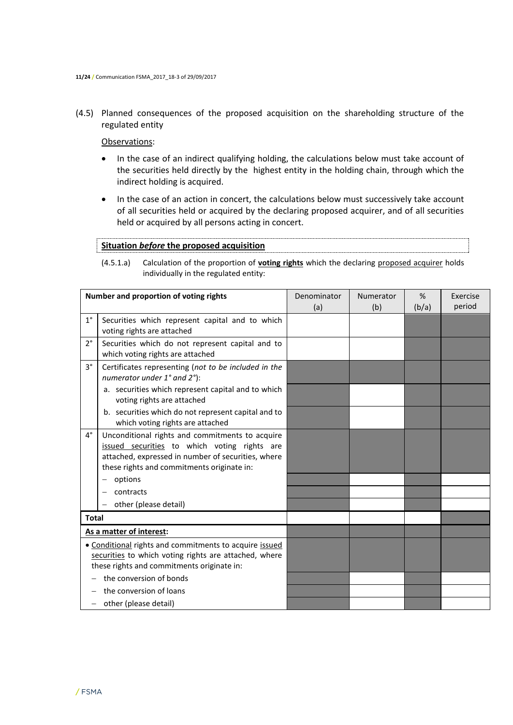(4.5) Planned consequences of the proposed acquisition on the shareholding structure of the regulated entity

Observations:

- In the case of an indirect qualifying holding, the calculations below must take account of the securities held directly by the highest entity in the holding chain, through which the indirect holding is acquired.
- In the case of an action in concert, the calculations below must successively take account of all securities held or acquired by the declaring proposed acquirer, and of all securities held or acquired by all persons acting in concert.

# **Situation** *before* **the proposed acquisition**

(4.5.1.a) Calculation of the proportion of **voting rights** which the declaring proposed acquirer holds individually in the regulated entity:

|              | Number and proportion of voting rights                                                                                                                                                              | Denominator<br>(a) | Numerator<br>(b) | %<br>(b/a) | Exercise<br>period |
|--------------|-----------------------------------------------------------------------------------------------------------------------------------------------------------------------------------------------------|--------------------|------------------|------------|--------------------|
| $1^{\circ}$  | Securities which represent capital and to which<br>voting rights are attached                                                                                                                       |                    |                  |            |                    |
| $2^{\circ}$  | Securities which do not represent capital and to<br>which voting rights are attached                                                                                                                |                    |                  |            |                    |
| $3^{\circ}$  | Certificates representing (not to be included in the<br>numerator under 1° and 2°):                                                                                                                 |                    |                  |            |                    |
|              | a. securities which represent capital and to which<br>voting rights are attached                                                                                                                    |                    |                  |            |                    |
|              | b. securities which do not represent capital and to<br>which voting rights are attached                                                                                                             |                    |                  |            |                    |
| $4^{\circ}$  | Unconditional rights and commitments to acquire<br>issued securities to which voting rights are<br>attached, expressed in number of securities, where<br>these rights and commitments originate in: |                    |                  |            |                    |
|              | options                                                                                                                                                                                             |                    |                  |            |                    |
|              | contracts                                                                                                                                                                                           |                    |                  |            |                    |
|              | other (please detail)                                                                                                                                                                               |                    |                  |            |                    |
| <b>Total</b> |                                                                                                                                                                                                     |                    |                  |            |                    |
|              | As a matter of interest:                                                                                                                                                                            |                    |                  |            |                    |
|              | • Conditional rights and commitments to acquire issued<br>securities to which voting rights are attached, where<br>these rights and commitments originate in:                                       |                    |                  |            |                    |
|              | the conversion of bonds                                                                                                                                                                             |                    |                  |            |                    |
|              | the conversion of loans                                                                                                                                                                             |                    |                  |            |                    |
|              | other (please detail)                                                                                                                                                                               |                    |                  |            |                    |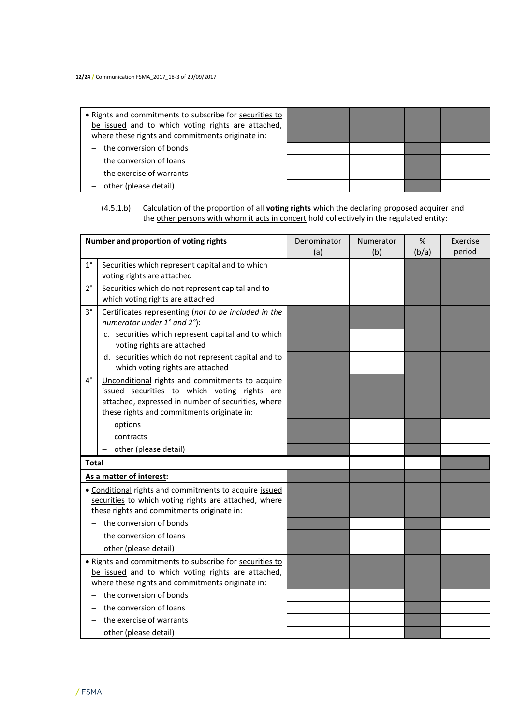| • Rights and commitments to subscribe for securities to<br>be issued and to which voting rights are attached,<br>where these rights and commitments originate in: |  |  |
|-------------------------------------------------------------------------------------------------------------------------------------------------------------------|--|--|
| $-$ the conversion of bonds                                                                                                                                       |  |  |
| $-$ the conversion of loans                                                                                                                                       |  |  |
| $-$ the exercise of warrants                                                                                                                                      |  |  |
| other (please detail)                                                                                                                                             |  |  |

## (4.5.1.b) Calculation of the proportion of all **voting rights** which the declaring proposed acquirer and the other persons with whom it acts in concert hold collectively in the regulated entity:

| Number and proportion of voting rights |                                                                                                                                                                                                     | Denominator | Numerator | %     | Exercise |
|----------------------------------------|-----------------------------------------------------------------------------------------------------------------------------------------------------------------------------------------------------|-------------|-----------|-------|----------|
|                                        |                                                                                                                                                                                                     | (a)         | (b)       | (b/a) | period   |
| $1^{\circ}$                            | Securities which represent capital and to which<br>voting rights are attached                                                                                                                       |             |           |       |          |
| $2^{\circ}$                            | Securities which do not represent capital and to<br>which voting rights are attached                                                                                                                |             |           |       |          |
| $3^{\circ}$                            | Certificates representing (not to be included in the<br>numerator under 1° and 2°):                                                                                                                 |             |           |       |          |
|                                        | c. securities which represent capital and to which<br>voting rights are attached                                                                                                                    |             |           |       |          |
|                                        | d. securities which do not represent capital and to<br>which voting rights are attached                                                                                                             |             |           |       |          |
| 4°                                     | Unconditional rights and commitments to acquire<br>issued securities to which voting rights are<br>attached, expressed in number of securities, where<br>these rights and commitments originate in: |             |           |       |          |
|                                        | options                                                                                                                                                                                             |             |           |       |          |
|                                        | contracts                                                                                                                                                                                           |             |           |       |          |
|                                        | other (please detail)                                                                                                                                                                               |             |           |       |          |
| <b>Total</b>                           |                                                                                                                                                                                                     |             |           |       |          |
|                                        | As a matter of interest:                                                                                                                                                                            |             |           |       |          |
|                                        | · Conditional rights and commitments to acquire issued<br>securities to which voting rights are attached, where<br>these rights and commitments originate in:                                       |             |           |       |          |
|                                        | the conversion of bonds                                                                                                                                                                             |             |           |       |          |
|                                        | the conversion of loans                                                                                                                                                                             |             |           |       |          |
| $\qquad \qquad -$                      | other (please detail)                                                                                                                                                                               |             |           |       |          |
|                                        | . Rights and commitments to subscribe for securities to<br>be issued and to which voting rights are attached,<br>where these rights and commitments originate in:                                   |             |           |       |          |
|                                        | the conversion of bonds                                                                                                                                                                             |             |           |       |          |
|                                        | the conversion of loans                                                                                                                                                                             |             |           |       |          |
|                                        | the exercise of warrants                                                                                                                                                                            |             |           |       |          |
| -                                      | other (please detail)                                                                                                                                                                               |             |           |       |          |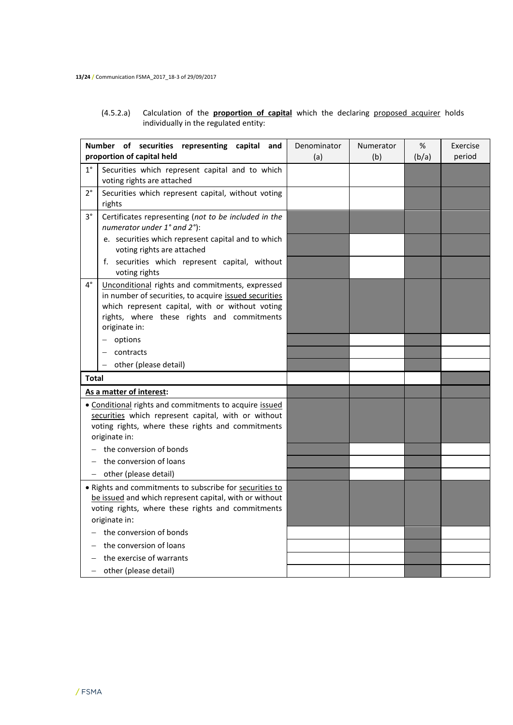(4.5.2.a) Calculation of the **proportion of capital** which the declaring proposed acquirer holds individually in the regulated entity:

|                         | Number of securities representing capital and<br>proportion of capital held                                                                                                                                                | Denominator<br>(a) | Numerator<br>(b) | %<br>(b/a) | Exercise<br>period |
|-------------------------|----------------------------------------------------------------------------------------------------------------------------------------------------------------------------------------------------------------------------|--------------------|------------------|------------|--------------------|
| $1^{\circ}$             | Securities which represent capital and to which<br>voting rights are attached                                                                                                                                              |                    |                  |            |                    |
| $2^{\circ}$             | Securities which represent capital, without voting<br>rights                                                                                                                                                               |                    |                  |            |                    |
| 3°                      | Certificates representing (not to be included in the<br>numerator under 1° and 2°):                                                                                                                                        |                    |                  |            |                    |
|                         | e. securities which represent capital and to which<br>voting rights are attached                                                                                                                                           |                    |                  |            |                    |
|                         | f. securities which represent capital, without<br>voting rights                                                                                                                                                            |                    |                  |            |                    |
| 4°                      | Unconditional rights and commitments, expressed<br>in number of securities, to acquire issued securities<br>which represent capital, with or without voting<br>rights, where these rights and commitments<br>originate in: |                    |                  |            |                    |
|                         | options                                                                                                                                                                                                                    |                    |                  |            |                    |
|                         | contracts                                                                                                                                                                                                                  |                    |                  |            |                    |
|                         | other (please detail)                                                                                                                                                                                                      |                    |                  |            |                    |
| <b>Total</b>            |                                                                                                                                                                                                                            |                    |                  |            |                    |
|                         | As a matter of interest:                                                                                                                                                                                                   |                    |                  |            |                    |
|                         | • Conditional rights and commitments to acquire issued<br>securities which represent capital, with or without<br>voting rights, where these rights and commitments<br>originate in:                                        |                    |                  |            |                    |
|                         | the conversion of bonds                                                                                                                                                                                                    |                    |                  |            |                    |
|                         | the conversion of loans                                                                                                                                                                                                    |                    |                  |            |                    |
|                         | other (please detail)                                                                                                                                                                                                      |                    |                  |            |                    |
|                         | . Rights and commitments to subscribe for securities to<br>be issued and which represent capital, with or without<br>voting rights, where these rights and commitments<br>originate in:                                    |                    |                  |            |                    |
| the conversion of bonds |                                                                                                                                                                                                                            |                    |                  |            |                    |
|                         | the conversion of loans                                                                                                                                                                                                    |                    |                  |            |                    |
|                         | the exercise of warrants                                                                                                                                                                                                   |                    |                  |            |                    |
| $-$                     | other (please detail)                                                                                                                                                                                                      |                    |                  |            |                    |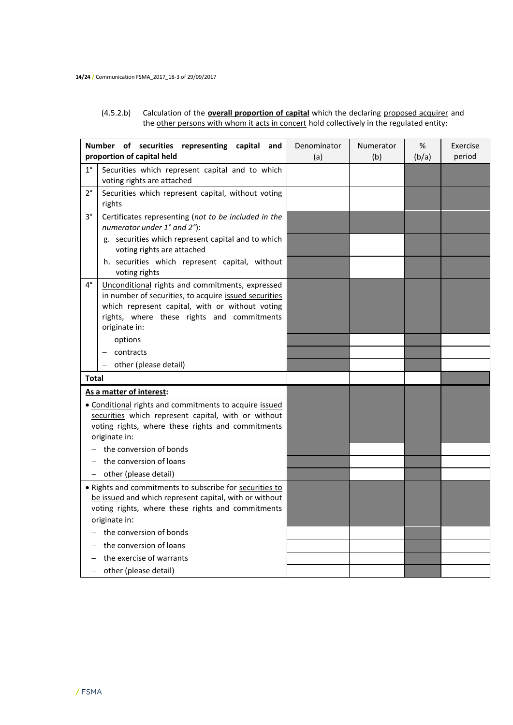## (4.5.2.b) Calculation of the **overall proportion of capital** which the declaring proposed acquirer and the other persons with whom it acts in concert hold collectively in the regulated entity:

| Number of securities representing capital<br>and |                                                                                                                                                                                                                            | Denominator | Numerator | $\%$  | Exercise |
|--------------------------------------------------|----------------------------------------------------------------------------------------------------------------------------------------------------------------------------------------------------------------------------|-------------|-----------|-------|----------|
|                                                  | proportion of capital held                                                                                                                                                                                                 | (a)         | (b)       | (b/a) | period   |
| $1^{\circ}$                                      | Securities which represent capital and to which<br>voting rights are attached                                                                                                                                              |             |           |       |          |
| $2^{\circ}$                                      | Securities which represent capital, without voting<br>rights                                                                                                                                                               |             |           |       |          |
| 3°                                               | Certificates representing (not to be included in the<br>numerator under 1° and 2°):                                                                                                                                        |             |           |       |          |
|                                                  | g. securities which represent capital and to which<br>voting rights are attached                                                                                                                                           |             |           |       |          |
|                                                  | h. securities which represent capital, without<br>voting rights                                                                                                                                                            |             |           |       |          |
| 4°                                               | Unconditional rights and commitments, expressed<br>in number of securities, to acquire issued securities<br>which represent capital, with or without voting<br>rights, where these rights and commitments<br>originate in: |             |           |       |          |
|                                                  | options                                                                                                                                                                                                                    |             |           |       |          |
|                                                  | contracts                                                                                                                                                                                                                  |             |           |       |          |
|                                                  | other (please detail)<br>-                                                                                                                                                                                                 |             |           |       |          |
| <b>Total</b>                                     |                                                                                                                                                                                                                            |             |           |       |          |
|                                                  | As a matter of interest:                                                                                                                                                                                                   |             |           |       |          |
|                                                  | · Conditional rights and commitments to acquire issued<br>securities which represent capital, with or without<br>voting rights, where these rights and commitments<br>originate in:                                        |             |           |       |          |
|                                                  | the conversion of bonds                                                                                                                                                                                                    |             |           |       |          |
|                                                  | the conversion of loans                                                                                                                                                                                                    |             |           |       |          |
|                                                  | other (please detail)                                                                                                                                                                                                      |             |           |       |          |
|                                                  | . Rights and commitments to subscribe for securities to<br>be issued and which represent capital, with or without<br>voting rights, where these rights and commitments<br>originate in:                                    |             |           |       |          |
|                                                  | the conversion of bonds                                                                                                                                                                                                    |             |           |       |          |
|                                                  | the conversion of loans                                                                                                                                                                                                    |             |           |       |          |
|                                                  | the exercise of warrants                                                                                                                                                                                                   |             |           |       |          |
| $-$                                              | other (please detail)                                                                                                                                                                                                      |             |           |       |          |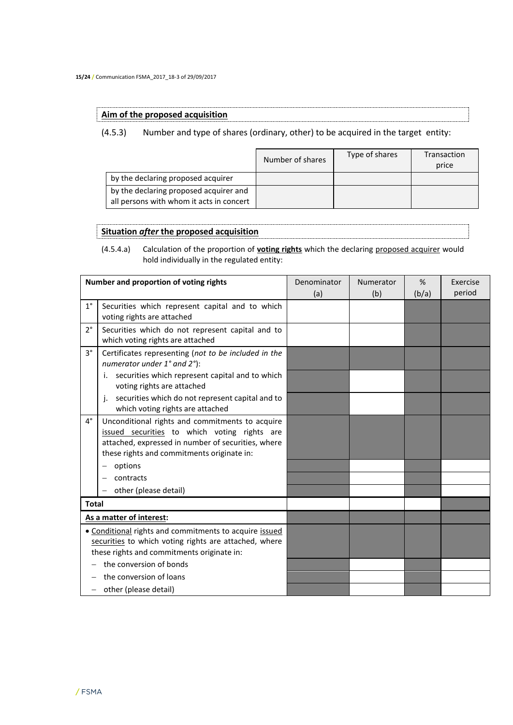## **Aim of the proposed acquisition**

(4.5.3) Number and type of shares (ordinary, other) to be acquired in the target entity:

|                                                                                    | Number of shares | Type of shares | Transaction<br>price |
|------------------------------------------------------------------------------------|------------------|----------------|----------------------|
| by the declaring proposed acquirer                                                 |                  |                |                      |
| by the declaring proposed acquirer and<br>all persons with whom it acts in concert |                  |                |                      |

## **Situation** *after* **the proposed acquisition**

(4.5.4.a) Calculation of the proportion of **voting rights** which the declaring proposed acquirer would hold individually in the regulated entity:

|              | Number and proportion of voting rights                                                                                                                                                              | Denominator<br>(a) | Numerator<br>(b) | %<br>(b/a) | Exercise<br>period |
|--------------|-----------------------------------------------------------------------------------------------------------------------------------------------------------------------------------------------------|--------------------|------------------|------------|--------------------|
| $1^{\circ}$  | Securities which represent capital and to which<br>voting rights are attached                                                                                                                       |                    |                  |            |                    |
| $2^{\circ}$  | Securities which do not represent capital and to<br>which voting rights are attached                                                                                                                |                    |                  |            |                    |
| $3^{\circ}$  | Certificates representing (not to be included in the<br>numerator under 1° and 2°):                                                                                                                 |                    |                  |            |                    |
|              | securities which represent capital and to which<br>i.<br>voting rights are attached                                                                                                                 |                    |                  |            |                    |
|              | securities which do not represent capital and to<br>j.<br>which voting rights are attached                                                                                                          |                    |                  |            |                    |
| $4^{\circ}$  | Unconditional rights and commitments to acquire<br>issued securities to which voting rights are<br>attached, expressed in number of securities, where<br>these rights and commitments originate in: |                    |                  |            |                    |
|              | options                                                                                                                                                                                             |                    |                  |            |                    |
|              | contracts                                                                                                                                                                                           |                    |                  |            |                    |
|              | other (please detail)                                                                                                                                                                               |                    |                  |            |                    |
| <b>Total</b> |                                                                                                                                                                                                     |                    |                  |            |                    |
|              | As a matter of interest:                                                                                                                                                                            |                    |                  |            |                    |
|              | • Conditional rights and commitments to acquire issued<br>securities to which voting rights are attached, where<br>these rights and commitments originate in:                                       |                    |                  |            |                    |
|              | the conversion of bonds                                                                                                                                                                             |                    |                  |            |                    |
|              | the conversion of loans                                                                                                                                                                             |                    |                  |            |                    |
| -            | other (please detail)                                                                                                                                                                               |                    |                  |            |                    |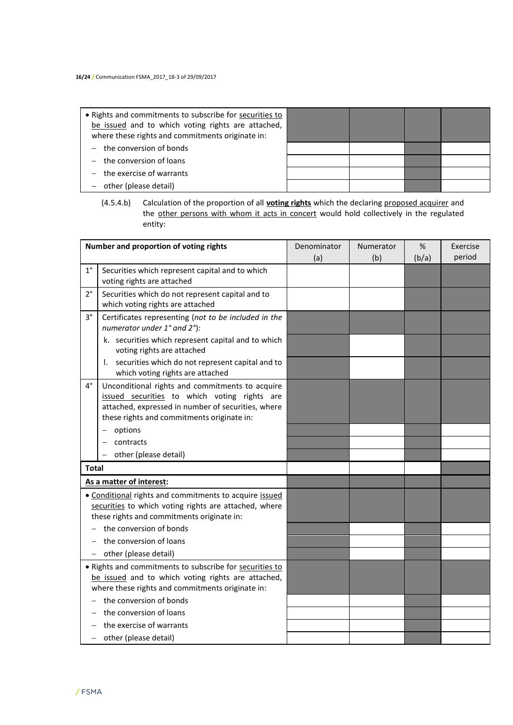| • Rights and commitments to subscribe for securities to |  |  |
|---------------------------------------------------------|--|--|
| be issued and to which voting rights are attached,      |  |  |
| where these rights and commitments originate in:        |  |  |
| $-$ the conversion of bonds                             |  |  |
| the conversion of loans                                 |  |  |
| the exercise of warrants                                |  |  |
| other (please detail)                                   |  |  |

<sup>(4.5.4.</sup>b) Calculation of the proportion of all **voting rights** which the declaring proposed acquirer and the other persons with whom it acts in concert would hold collectively in the regulated entity:

|                                                                                                                                                               | Number and proportion of voting rights                                                                                                                                                              | Denominator<br>(a) | Numerator<br>(b) | %<br>(b/a) | Exercise<br>period |
|---------------------------------------------------------------------------------------------------------------------------------------------------------------|-----------------------------------------------------------------------------------------------------------------------------------------------------------------------------------------------------|--------------------|------------------|------------|--------------------|
| $1^{\circ}$                                                                                                                                                   | Securities which represent capital and to which<br>voting rights are attached                                                                                                                       |                    |                  |            |                    |
| $2^{\circ}$                                                                                                                                                   | Securities which do not represent capital and to<br>which voting rights are attached                                                                                                                |                    |                  |            |                    |
| $3^{\circ}$                                                                                                                                                   | Certificates representing (not to be included in the<br>numerator under 1° and 2°):                                                                                                                 |                    |                  |            |                    |
|                                                                                                                                                               | k. securities which represent capital and to which<br>voting rights are attached                                                                                                                    |                    |                  |            |                    |
|                                                                                                                                                               | securities which do not represent capital and to<br>$\mathbf{L}$<br>which voting rights are attached                                                                                                |                    |                  |            |                    |
| 4°                                                                                                                                                            | Unconditional rights and commitments to acquire<br>issued securities to which voting rights are<br>attached, expressed in number of securities, where<br>these rights and commitments originate in: |                    |                  |            |                    |
|                                                                                                                                                               | options                                                                                                                                                                                             |                    |                  |            |                    |
|                                                                                                                                                               | contracts                                                                                                                                                                                           |                    |                  |            |                    |
|                                                                                                                                                               | other (please detail)                                                                                                                                                                               |                    |                  |            |                    |
| <b>Total</b>                                                                                                                                                  |                                                                                                                                                                                                     |                    |                  |            |                    |
|                                                                                                                                                               | As a matter of interest:                                                                                                                                                                            |                    |                  |            |                    |
| . Conditional rights and commitments to acquire issued<br>securities to which voting rights are attached, where<br>these rights and commitments originate in: |                                                                                                                                                                                                     |                    |                  |            |                    |
|                                                                                                                                                               | the conversion of bonds                                                                                                                                                                             |                    |                  |            |                    |
|                                                                                                                                                               | the conversion of loans                                                                                                                                                                             |                    |                  |            |                    |
|                                                                                                                                                               | other (please detail)                                                                                                                                                                               |                    |                  |            |                    |
|                                                                                                                                                               | • Rights and commitments to subscribe for securities to<br>be issued and to which voting rights are attached,<br>where these rights and commitments originate in:                                   |                    |                  |            |                    |
|                                                                                                                                                               | the conversion of bonds                                                                                                                                                                             |                    |                  |            |                    |
|                                                                                                                                                               | the conversion of loans                                                                                                                                                                             |                    |                  |            |                    |
|                                                                                                                                                               | the exercise of warrants                                                                                                                                                                            |                    |                  |            |                    |
| other (please detail)                                                                                                                                         |                                                                                                                                                                                                     |                    |                  |            |                    |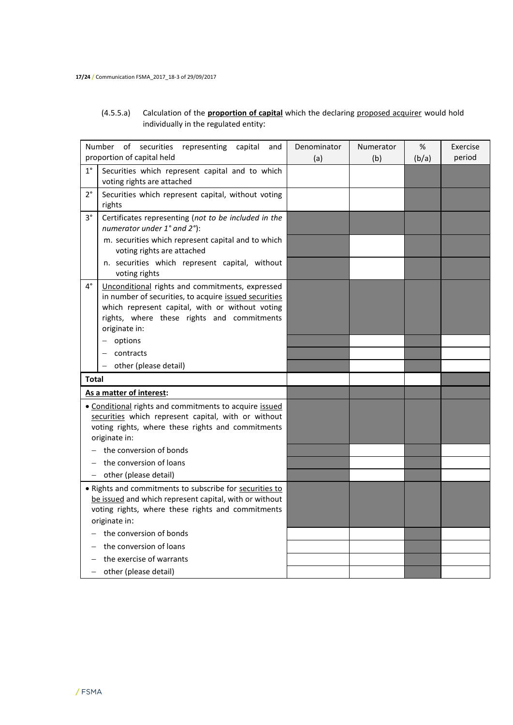## (4.5.5.a) Calculation of the **proportion of capital** which the declaring proposed acquirer would hold individually in the regulated entity:

|                                                                                                                                                                                     | Number of securities<br>capital<br>representing<br>and                                                                                                                                                                     | Denominator | Numerator | %     | Exercise |
|-------------------------------------------------------------------------------------------------------------------------------------------------------------------------------------|----------------------------------------------------------------------------------------------------------------------------------------------------------------------------------------------------------------------------|-------------|-----------|-------|----------|
| proportion of capital held                                                                                                                                                          |                                                                                                                                                                                                                            | (a)         | (b)       | (b/a) | period   |
| $1^{\circ}$                                                                                                                                                                         | Securities which represent capital and to which<br>voting rights are attached                                                                                                                                              |             |           |       |          |
| 2°                                                                                                                                                                                  | Securities which represent capital, without voting<br>rights                                                                                                                                                               |             |           |       |          |
| 3°                                                                                                                                                                                  | Certificates representing (not to be included in the<br>numerator under 1° and 2°):                                                                                                                                        |             |           |       |          |
|                                                                                                                                                                                     | m. securities which represent capital and to which<br>voting rights are attached                                                                                                                                           |             |           |       |          |
|                                                                                                                                                                                     | n. securities which represent capital, without<br>voting rights                                                                                                                                                            |             |           |       |          |
| 4°                                                                                                                                                                                  | Unconditional rights and commitments, expressed<br>in number of securities, to acquire issued securities<br>which represent capital, with or without voting<br>rights, where these rights and commitments<br>originate in: |             |           |       |          |
|                                                                                                                                                                                     | options                                                                                                                                                                                                                    |             |           |       |          |
|                                                                                                                                                                                     | contracts                                                                                                                                                                                                                  |             |           |       |          |
|                                                                                                                                                                                     | other (please detail)                                                                                                                                                                                                      |             |           |       |          |
| <b>Total</b>                                                                                                                                                                        |                                                                                                                                                                                                                            |             |           |       |          |
|                                                                                                                                                                                     | As a matter of interest:                                                                                                                                                                                                   |             |           |       |          |
| . Conditional rights and commitments to acquire issued<br>securities which represent capital, with or without<br>voting rights, where these rights and commitments<br>originate in: |                                                                                                                                                                                                                            |             |           |       |          |
| the conversion of bonds                                                                                                                                                             |                                                                                                                                                                                                                            |             |           |       |          |
| the conversion of loans                                                                                                                                                             |                                                                                                                                                                                                                            |             |           |       |          |
|                                                                                                                                                                                     | other (please detail)                                                                                                                                                                                                      |             |           |       |          |
|                                                                                                                                                                                     | . Rights and commitments to subscribe for securities to<br>be issued and which represent capital, with or without<br>voting rights, where these rights and commitments<br>originate in:                                    |             |           |       |          |
| the conversion of bonds                                                                                                                                                             |                                                                                                                                                                                                                            |             |           |       |          |
| the conversion of loans                                                                                                                                                             |                                                                                                                                                                                                                            |             |           |       |          |
| the exercise of warrants                                                                                                                                                            |                                                                                                                                                                                                                            |             |           |       |          |
|                                                                                                                                                                                     | other (please detail)                                                                                                                                                                                                      |             |           |       |          |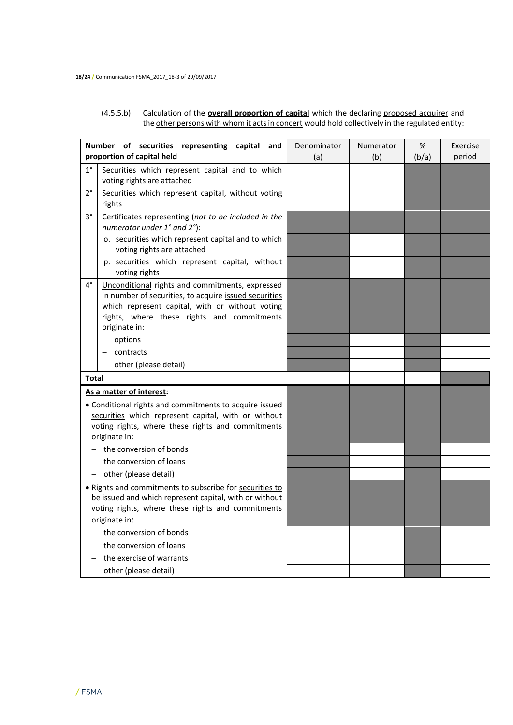## (4.5.5.b) Calculation of the **overall proportion of capital** which the declaring proposed acquirer and the other persons with whom it acts in concert would hold collectively in the regulated entity:

| Number of securities representing capital<br>and<br>proportion of capital held                                                                                                      |                                                                                                                                                                                                                            | Denominator<br>(a) | Numerator<br>(b) | %<br>(b/a) | Exercise<br>period |
|-------------------------------------------------------------------------------------------------------------------------------------------------------------------------------------|----------------------------------------------------------------------------------------------------------------------------------------------------------------------------------------------------------------------------|--------------------|------------------|------------|--------------------|
| $1^{\circ}$                                                                                                                                                                         | Securities which represent capital and to which                                                                                                                                                                            |                    |                  |            |                    |
|                                                                                                                                                                                     | voting rights are attached                                                                                                                                                                                                 |                    |                  |            |                    |
| $2^{\circ}$                                                                                                                                                                         | Securities which represent capital, without voting<br>rights                                                                                                                                                               |                    |                  |            |                    |
| 3°                                                                                                                                                                                  | Certificates representing (not to be included in the<br>numerator under 1° and 2°):                                                                                                                                        |                    |                  |            |                    |
|                                                                                                                                                                                     | o. securities which represent capital and to which<br>voting rights are attached                                                                                                                                           |                    |                  |            |                    |
|                                                                                                                                                                                     | p. securities which represent capital, without<br>voting rights                                                                                                                                                            |                    |                  |            |                    |
| 4°                                                                                                                                                                                  | Unconditional rights and commitments, expressed<br>in number of securities, to acquire issued securities<br>which represent capital, with or without voting<br>rights, where these rights and commitments<br>originate in: |                    |                  |            |                    |
|                                                                                                                                                                                     | options                                                                                                                                                                                                                    |                    |                  |            |                    |
|                                                                                                                                                                                     | contracts                                                                                                                                                                                                                  |                    |                  |            |                    |
|                                                                                                                                                                                     | other (please detail)                                                                                                                                                                                                      |                    |                  |            |                    |
| <b>Total</b>                                                                                                                                                                        |                                                                                                                                                                                                                            |                    |                  |            |                    |
| As a matter of interest:                                                                                                                                                            |                                                                                                                                                                                                                            |                    |                  |            |                    |
| · Conditional rights and commitments to acquire issued<br>securities which represent capital, with or without<br>voting rights, where these rights and commitments<br>originate in: |                                                                                                                                                                                                                            |                    |                  |            |                    |
|                                                                                                                                                                                     | the conversion of bonds                                                                                                                                                                                                    |                    |                  |            |                    |
|                                                                                                                                                                                     | the conversion of loans                                                                                                                                                                                                    |                    |                  |            |                    |
|                                                                                                                                                                                     | other (please detail)                                                                                                                                                                                                      |                    |                  |            |                    |
|                                                                                                                                                                                     | . Rights and commitments to subscribe for securities to<br>be issued and which represent capital, with or without<br>voting rights, where these rights and commitments<br>originate in:                                    |                    |                  |            |                    |
| the conversion of bonds                                                                                                                                                             |                                                                                                                                                                                                                            |                    |                  |            |                    |
| the conversion of loans                                                                                                                                                             |                                                                                                                                                                                                                            |                    |                  |            |                    |
| the exercise of warrants                                                                                                                                                            |                                                                                                                                                                                                                            |                    |                  |            |                    |
| $-$                                                                                                                                                                                 | other (please detail)                                                                                                                                                                                                      |                    |                  |            |                    |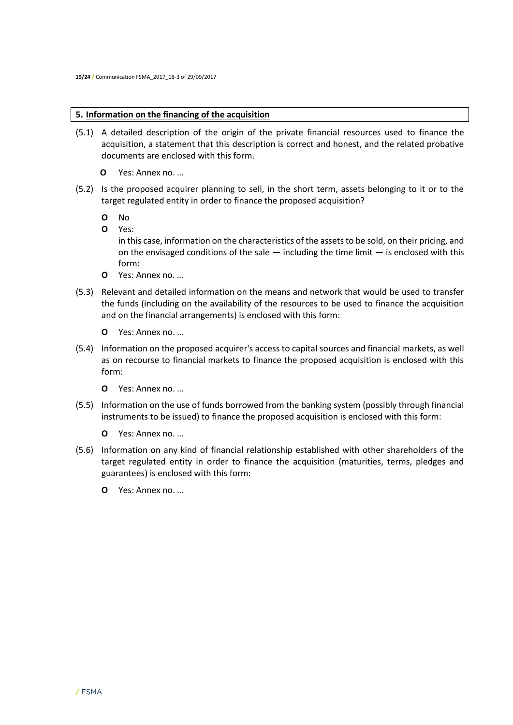#### **5. Information on the financing of the acquisition**

- (5.1) A detailed description of the origin of the private financial resources used to finance the acquisition, a statement that this description is correct and honest, and the related probative documents are enclosed with this form.
	- **O** Yes: Annex no. …
- (5.2) Is the proposed acquirer planning to sell, in the short term, assets belonging to it or to the target regulated entity in order to finance the proposed acquisition?
	- **O** No
	- **O** Yes:

in this case, information on the characteristics of the assets to be sold, on their pricing, and on the envisaged conditions of the sale  $-$  including the time limit  $-$  is enclosed with this form:

- **O** Yes: Annex no. …
- (5.3) Relevant and detailed information on the means and network that would be used to transfer the funds (including on the availability of the resources to be used to finance the acquisition and on the financial arrangements) is enclosed with this form:
	- **O** Yes: Annex no. …
- (5.4) Information on the proposed acquirer's access to capital sources and financial markets, as well as on recourse to financial markets to finance the proposed acquisition is enclosed with this form:
	- **O** Yes: Annex no. …
- (5.5) Information on the use of funds borrowed from the banking system (possibly through financial instruments to be issued) to finance the proposed acquisition is enclosed with this form:
	- **O** Yes: Annex no. …
- (5.6) Information on any kind of financial relationship established with other shareholders of the target regulated entity in order to finance the acquisition (maturities, terms, pledges and guarantees) is enclosed with this form:
	- **O** Yes: Annex no. …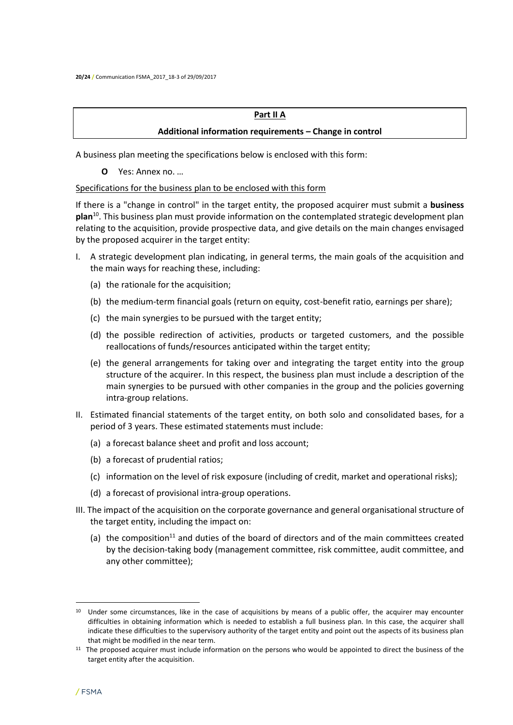#### **Part II A**

## **Additional information requirements – Change in control**

A business plan meeting the specifications below is enclosed with this form:

**O** Yes: Annex no. …

#### Specifications for the business plan to be enclosed with this form

If there is a "change in control" in the target entity, the proposed acquirer must submit a **business plan**<sup>10</sup>. This business plan must provide information on the contemplated strategic development plan relating to the acquisition, provide prospective data, and give details on the main changes envisaged by the proposed acquirer in the target entity:

- I. A strategic development plan indicating, in general terms, the main goals of the acquisition and the main ways for reaching these, including:
	- (a) the rationale for the acquisition;
	- (b) the medium-term financial goals (return on equity, cost-benefit ratio, earnings per share);
	- (c) the main synergies to be pursued with the target entity;
	- (d) the possible redirection of activities, products or targeted customers, and the possible reallocations of funds/resources anticipated within the target entity;
	- (e) the general arrangements for taking over and integrating the target entity into the group structure of the acquirer. In this respect, the business plan must include a description of the main synergies to be pursued with other companies in the group and the policies governing intra-group relations.
- II. Estimated financial statements of the target entity, on both solo and consolidated bases, for a period of 3 years. These estimated statements must include:
	- (a) a forecast balance sheet and profit and loss account;
	- (b) a forecast of prudential ratios;
	- (c) information on the level of risk exposure (including of credit, market and operational risks);
	- (d) a forecast of provisional intra-group operations.
- III. The impact of the acquisition on the corporate governance and general organisational structure of the target entity, including the impact on:
	- (a) the composition<sup>11</sup> and duties of the board of directors and of the main committees created by the decision-taking body (management committee, risk committee, audit committee, and any other committee);

l

 $10$  Under some circumstances, like in the case of acquisitions by means of a public offer, the acquirer may encounter difficulties in obtaining information which is needed to establish a full business plan. In this case, the acquirer shall indicate these difficulties to the supervisory authority of the target entity and point out the aspects of its business plan that might be modified in the near term.

<sup>&</sup>lt;sup>11</sup> The proposed acquirer must include information on the persons who would be appointed to direct the business of the target entity after the acquisition.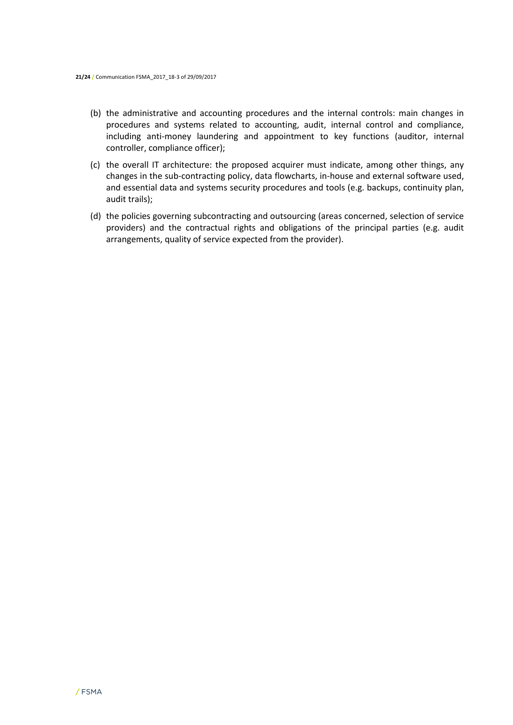- (b) the administrative and accounting procedures and the internal controls: main changes in procedures and systems related to accounting, audit, internal control and compliance, including anti-money laundering and appointment to key functions (auditor, internal controller, compliance officer);
- (c) the overall IT architecture: the proposed acquirer must indicate, among other things, any changes in the sub-contracting policy, data flowcharts, in-house and external software used, and essential data and systems security procedures and tools (e.g. backups, continuity plan, audit trails);
- (d) the policies governing subcontracting and outsourcing (areas concerned, selection of service providers) and the contractual rights and obligations of the principal parties (e.g. audit arrangements, quality of service expected from the provider).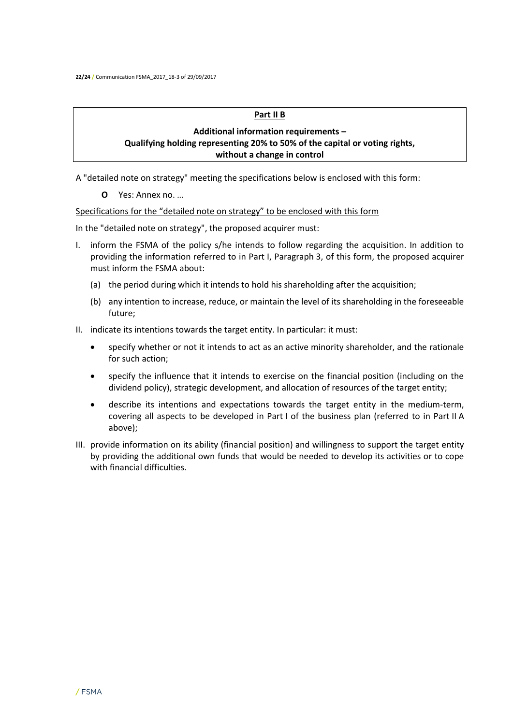#### **Part II B**

## **Additional information requirements – Qualifying holding representing 20% to 50% of the capital or voting rights, without a change in control**

A "detailed note on strategy" meeting the specifications below is enclosed with this form:

**O** Yes: Annex no. …

## Specifications for the "detailed note on strategy" to be enclosed with this form

In the "detailed note on strategy", the proposed acquirer must:

- I. inform the FSMA of the policy s/he intends to follow regarding the acquisition. In addition to providing the information referred to in Part I, Paragraph 3, of this form, the proposed acquirer must inform the FSMA about:
	- (a) the period during which it intends to hold his shareholding after the acquisition;
	- (b) any intention to increase, reduce, or maintain the level of its shareholding in the foreseeable future;
- II. indicate its intentions towards the target entity. In particular: it must:
	- specify whether or not it intends to act as an active minority shareholder, and the rationale for such action;
	- specify the influence that it intends to exercise on the financial position (including on the dividend policy), strategic development, and allocation of resources of the target entity;
	- describe its intentions and expectations towards the target entity in the medium-term, covering all aspects to be developed in Part I of the business plan (referred to in Part II A above);
- III. provide information on its ability (financial position) and willingness to support the target entity by providing the additional own funds that would be needed to develop its activities or to cope with financial difficulties.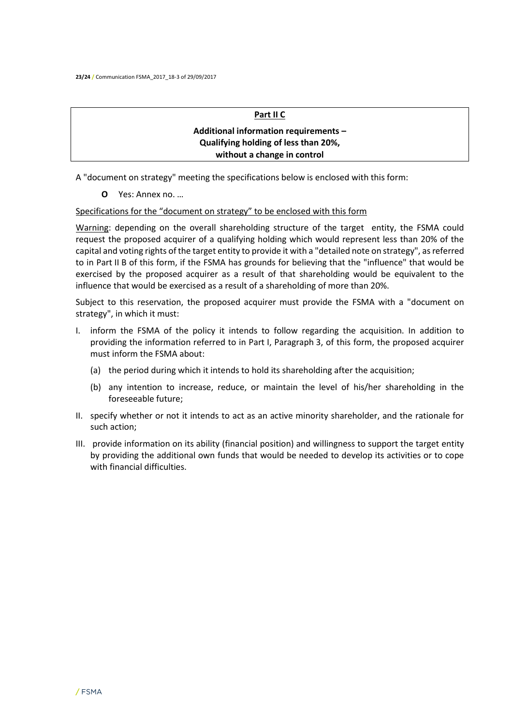## **Part II C**

## **Additional information requirements – Qualifying holding of less than 20%, without a change in control**

A "document on strategy" meeting the specifications below is enclosed with this form:

**O** Yes: Annex no. …

#### Specifications for the "document on strategy" to be enclosed with this form

Warning: depending on the overall shareholding structure of the target entity, the FSMA could request the proposed acquirer of a qualifying holding which would represent less than 20% of the capital and voting rights of the target entity to provide it with a "detailed note on strategy", as referred to in Part II B of this form, if the FSMA has grounds for believing that the "influence" that would be exercised by the proposed acquirer as a result of that shareholding would be equivalent to the influence that would be exercised as a result of a shareholding of more than 20%.

Subject to this reservation, the proposed acquirer must provide the FSMA with a "document on strategy", in which it must:

- I. inform the FSMA of the policy it intends to follow regarding the acquisition. In addition to providing the information referred to in Part I, Paragraph 3, of this form, the proposed acquirer must inform the FSMA about:
	- (a) the period during which it intends to hold its shareholding after the acquisition;
	- (b) any intention to increase, reduce, or maintain the level of his/her shareholding in the foreseeable future;
- II. specify whether or not it intends to act as an active minority shareholder, and the rationale for such action;
- III. provide information on its ability (financial position) and willingness to support the target entity by providing the additional own funds that would be needed to develop its activities or to cope with financial difficulties.